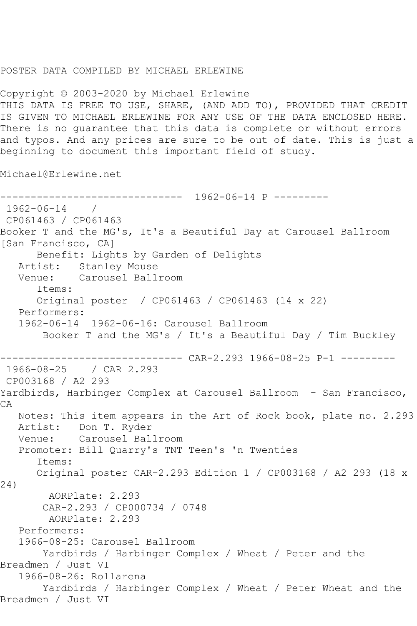## POSTER DATA COMPILED BY MICHAEL ERLEWINE

Copyright © 2003-2020 by Michael Erlewine THIS DATA IS FREE TO USE, SHARE, (AND ADD TO), PROVIDED THAT CREDIT IS GIVEN TO MICHAEL ERLEWINE FOR ANY USE OF THE DATA ENCLOSED HERE. There is no guarantee that this data is complete or without errors and typos. And any prices are sure to be out of date. This is just a beginning to document this important field of study.

Michael@Erlewine.net

------------------------------ 1962-06-14 P --------- 1962-06-14 / CP061463 / CP061463 Booker T and the MG's, It's a Beautiful Day at Carousel Ballroom [San Francisco, CA] Benefit: Lights by Garden of Delights Artist: Stanley Mouse Venue: Carousel Ballroom Items: Original poster / CP061463 / CP061463 (14 x 22) Performers: 1962-06-14 1962-06-16: Carousel Ballroom Booker T and the MG's / It's a Beautiful Day / Tim Buckley ------------------------------ CAR-2.293 1966-08-25 P-1 --------- 1966-08-25 / CAR 2.293 CP003168 / A2 293 Yardbirds, Harbinger Complex at Carousel Ballroom - San Francisco, CA Notes: This item appears in the Art of Rock book, plate no. 2.293 Artist: Don T. Ryder Venue: Carousel Ballroom Promoter: Bill Quarry's TNT Teen's 'n Twenties Items: Original poster CAR-2.293 Edition 1 / CP003168 / A2 293 (18 x 24) AORPlate: 2.293 CAR-2.293 / CP000734 / 0748 AORPlate: 2.293 Performers: 1966-08-25: Carousel Ballroom Yardbirds / Harbinger Complex / Wheat / Peter and the Breadmen / Just VI 1966-08-26: Rollarena Yardbirds / Harbinger Complex / Wheat / Peter Wheat and the Breadmen / Just VI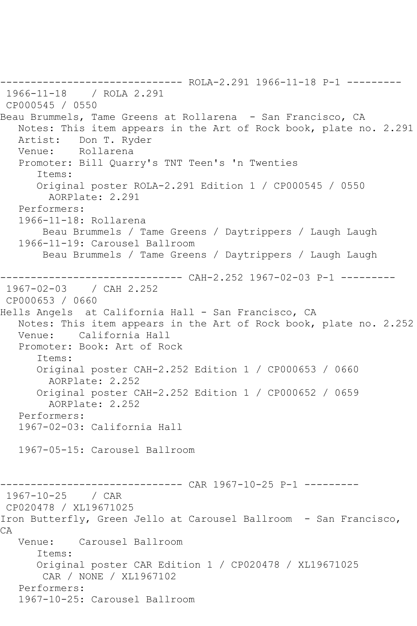------------------------------ ROLA-2.291 1966-11-18 P-1 --------- 1966-11-18 / ROLA 2.291 CP000545 / 0550 Beau Brummels, Tame Greens at Rollarena - San Francisco, CA Notes: This item appears in the Art of Rock book, plate no. 2.291 Artist: Don T. Ryder Venue: Rollarena Promoter: Bill Quarry's TNT Teen's 'n Twenties Items: Original poster ROLA-2.291 Edition 1 / CP000545 / 0550 AORPlate: 2.291 Performers: 1966-11-18: Rollarena Beau Brummels / Tame Greens / Daytrippers / Laugh Laugh 1966-11-19: Carousel Ballroom Beau Brummels / Tame Greens / Daytrippers / Laugh Laugh ------------------------------ CAH-2.252 1967-02-03 P-1 --------- 1967-02-03 / CAH 2.252 CP000653 / 0660 Hells Angels at California Hall - San Francisco, CA Notes: This item appears in the Art of Rock book, plate no. 2.252 Venue: California Hall Promoter: Book: Art of Rock Items: Original poster CAH-2.252 Edition 1 / CP000653 / 0660 AORPlate: 2.252 Original poster CAH-2.252 Edition 1 / CP000652 / 0659 AORPlate: 2.252 Performers: 1967-02-03: California Hall 1967-05-15: Carousel Ballroom ------------------------------ CAR 1967-10-25 P-1 --------- 1967-10-25 / CAR CP020478 / XL19671025 Iron Butterfly, Green Jello at Carousel Ballroom - San Francisco, CA Venue: Carousel Ballroom Items: Original poster CAR Edition 1 / CP020478 / XL19671025 CAR / NONE / XL1967102 Performers: 1967-10-25: Carousel Ballroom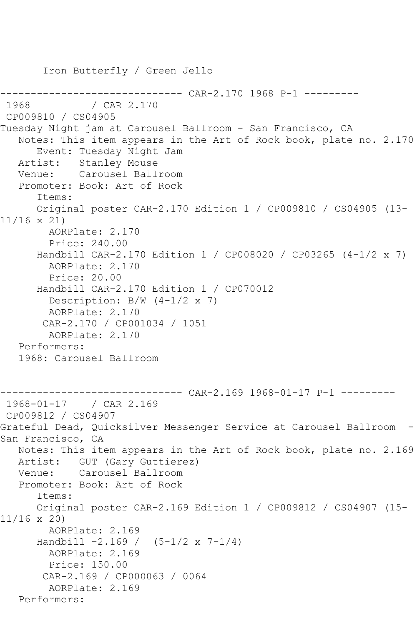Iron Butterfly / Green Jello ------------------------------ CAR-2.170 1968 P-1 --------- / CAR 2.170 CP009810 / CS04905 Tuesday Night jam at Carousel Ballroom - San Francisco, CA Notes: This item appears in the Art of Rock book, plate no. 2.170 Event: Tuesday Night Jam Artist: Stanley Mouse Venue: Carousel Ballroom Promoter: Book: Art of Rock Items: Original poster CAR-2.170 Edition 1 / CP009810 / CS04905 (13- 11/16 x 21) AORPlate: 2.170 Price: 240.00 Handbill CAR-2.170 Edition 1 / CP008020 / CP03265 (4-1/2 x 7) AORPlate: 2.170 Price: 20.00 Handbill CAR-2.170 Edition 1 / CP070012 Description:  $B/W$  (4-1/2 x 7) AORPlate: 2.170 CAR-2.170 / CP001034 / 1051 AORPlate: 2.170 Performers: 1968: Carousel Ballroom --------- CAR-2.169 1968-01-17 P-1 ---------1968-01-17 / CAR 2.169 CP009812 / CS04907 Grateful Dead, Quicksilver Messenger Service at Carousel Ballroom - San Francisco, CA Notes: This item appears in the Art of Rock book, plate no. 2.169 Artist: GUT (Gary Guttierez) Venue: Carousel Ballroom Promoter: Book: Art of Rock Items: Original poster CAR-2.169 Edition 1 / CP009812 / CS04907 (15- 11/16 x 20) AORPlate: 2.169 Handbill -2.169 / (5-1/2 x 7-1/4) AORPlate: 2.169 Price: 150.00 CAR-2.169 / CP000063 / 0064 AORPlate: 2.169 Performers: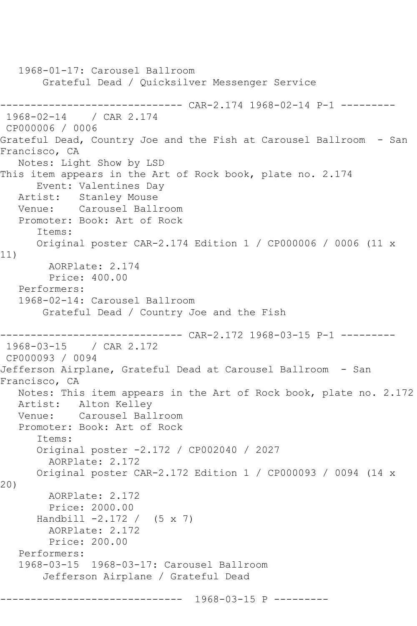1968-01-17: Carousel Ballroom Grateful Dead / Quicksilver Messenger Service ------------------------------ CAR-2.174 1968-02-14 P-1 --------- 1968-02-14 / CAR 2.174 CP000006 / 0006 Grateful Dead, Country Joe and the Fish at Carousel Ballroom - San Francisco, CA Notes: Light Show by LSD This item appears in the Art of Rock book, plate no. 2.174 Event: Valentines Day Artist: Stanley Mouse Venue: Carousel Ballroom Promoter: Book: Art of Rock Items: Original poster CAR-2.174 Edition 1 / CP000006 / 0006 (11 x 11) AORPlate: 2.174 Price: 400.00 Performers: 1968-02-14: Carousel Ballroom Grateful Dead / Country Joe and the Fish ------------------------------ CAR-2.172 1968-03-15 P-1 --------- 1968-03-15 / CAR 2.172 CP000093 / 0094 Jefferson Airplane, Grateful Dead at Carousel Ballroom - San Francisco, CA Notes: This item appears in the Art of Rock book, plate no. 2.172 Artist: Alton Kelley Venue: Carousel Ballroom Promoter: Book: Art of Rock Items: Original poster -2.172 / CP002040 / 2027 AORPlate: 2.172 Original poster CAR-2.172 Edition 1 / CP000093 / 0094 (14 x 20) AORPlate: 2.172 Price: 2000.00 Handbill  $-2.172 / (5 \times 7)$  AORPlate: 2.172 Price: 200.00 Performers: 1968-03-15 1968-03-17: Carousel Ballroom Jefferson Airplane / Grateful Dead ------------------------------ 1968-03-15 P ---------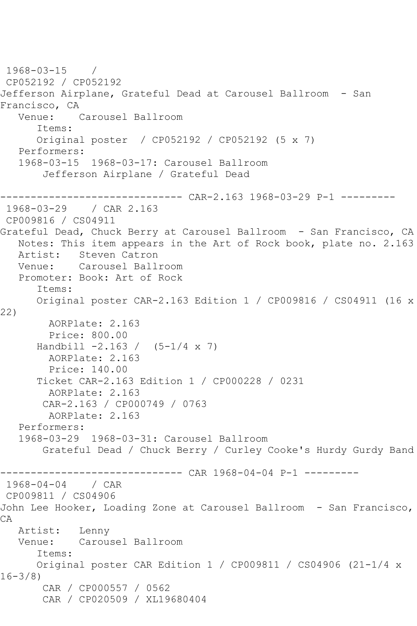```
1968-03-15 / 
CP052192 / CP052192
Jefferson Airplane, Grateful Dead at Carousel Ballroom - San 
Francisco, CA<br>Venue:
            Carousel Ballroom
       Items:
      Original poster / CP052192 / CP052192 (5 x 7)
   Performers:
   1968-03-15 1968-03-17: Carousel Ballroom
        Jefferson Airplane / Grateful Dead
          ------------------------------ CAR-2.163 1968-03-29 P-1 ---------
1968-03-29 / CAR 2.163
CP009816 / CS04911
Grateful Dead, Chuck Berry at Carousel Ballroom - San Francisco, CA
   Notes: This item appears in the Art of Rock book, plate no. 2.163
   Artist: Steven Catron
   Venue: Carousel Ballroom
   Promoter: Book: Art of Rock
       Items:
      Original poster CAR-2.163 Edition 1 / CP009816 / CS04911 (16 x 
22)
        AORPlate: 2.163 
        Price: 800.00
     Handbill -2.163 / (5-1/4 x 7)
        AORPlate: 2.163 
        Price: 140.00
       Ticket CAR-2.163 Edition 1 / CP000228 / 0231
         AORPlate: 2.163 
        CAR-2.163 / CP000749 / 0763
        AORPlate: 2.163 
   Performers:
   1968-03-29 1968-03-31: Carousel Ballroom
        Grateful Dead / Chuck Berry / Curley Cooke's Hurdy Gurdy Band
------------------------------ CAR 1968-04-04 P-1 ---------
1968-04-04 / CAR 
CP009811 / CS04906
John Lee Hooker, Loading Zone at Carousel Ballroom - San Francisco, 
CA
   Artist: Lenny
   Venue: Carousel Ballroom
       Items:
      Original poster CAR Edition 1 / CP009811 / CS04906 (21-1/4 x 
16-3/8)
       CAR / CP000557 / 0562
        CAR / CP020509 / XL19680404
```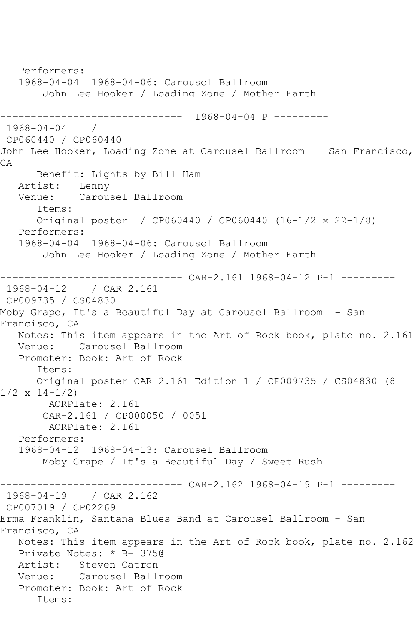Performers: 1968-04-04 1968-04-06: Carousel Ballroom John Lee Hooker / Loading Zone / Mother Earth ------------------------------ 1968-04-04 P --------- 1968-04-04 / CP060440 / CP060440 John Lee Hooker, Loading Zone at Carousel Ballroom - San Francisco, CA Benefit: Lights by Bill Ham Artist: Lenny<br>Venue: Carou: Carousel Ballroom Items: Original poster / CP060440 / CP060440 (16-1/2 x 22-1/8) Performers: 1968-04-04 1968-04-06: Carousel Ballroom John Lee Hooker / Loading Zone / Mother Earth ------------------------------ CAR-2.161 1968-04-12 P-1 --------- 1968-04-12 / CAR 2.161 CP009735 / CS04830 Moby Grape, It's a Beautiful Day at Carousel Ballroom - San Francisco, CA Notes: This item appears in the Art of Rock book, plate no. 2.161 Venue: Carousel Ballroom Promoter: Book: Art of Rock Items: Original poster CAR-2.161 Edition 1 / CP009735 / CS04830 (8-  $1/2 \times 14 - 1/2$  AORPlate: 2.161 CAR-2.161 / CP000050 / 0051 AORPlate: 2.161 Performers: 1968-04-12 1968-04-13: Carousel Ballroom Moby Grape / It's a Beautiful Day / Sweet Rush ------------------------------ CAR-2.162 1968-04-19 P-1 --------- 1968-04-19 / CAR 2.162 CP007019 / CP02269 Erma Franklin, Santana Blues Band at Carousel Ballroom - San Francisco, CA Notes: This item appears in the Art of Rock book, plate no. 2.162 Private Notes: \* B+ 375@ Artist: Steven Catron Venue: Carousel Ballroom Promoter: Book: Art of Rock Items: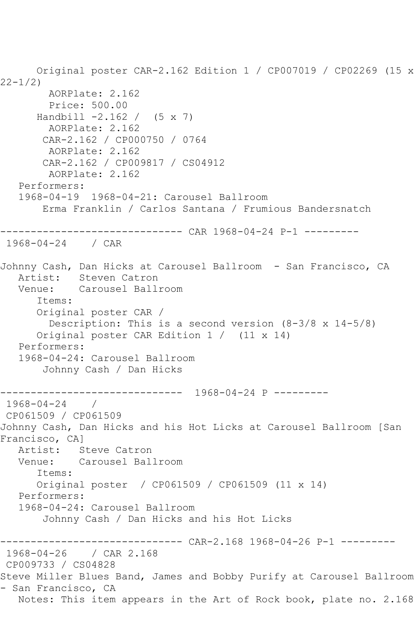Original poster CAR-2.162 Edition 1 / CP007019 / CP02269 (15 x  $22 - 1/2$  AORPlate: 2.162 Price: 500.00 Handbill  $-2.162 / (5 \times 7)$  AORPlate: 2.162 CAR-2.162 / CP000750 / 0764 AORPlate: 2.162 CAR-2.162 / CP009817 / CS04912 AORPlate: 2.162 Performers: 1968-04-19 1968-04-21: Carousel Ballroom Erma Franklin / Carlos Santana / Frumious Bandersnatch ------------------------------ CAR 1968-04-24 P-1 --------- 1968-04-24 / CAR Johnny Cash, Dan Hicks at Carousel Ballroom - San Francisco, CA<br>Artist: Steven Catron Steven Catron Venue: Carousel Ballroom Items: Original poster CAR / Description: This is a second version (8-3/8 x 14-5/8) Original poster CAR Edition 1 / (11 x 14) Performers: 1968-04-24: Carousel Ballroom Johnny Cash / Dan Hicks ------------------------------ 1968-04-24 P --------- 1968-04-24 / CP061509 / CP061509 Johnny Cash, Dan Hicks and his Hot Licks at Carousel Ballroom [San Francisco, CA] Artist: Steve Catron Venue: Carousel Ballroom Items: Original poster / CP061509 / CP061509 (11 x 14) Performers: 1968-04-24: Carousel Ballroom Johnny Cash / Dan Hicks and his Hot Licks ------------------------------ CAR-2.168 1968-04-26 P-1 --------- 1968-04-26 / CAR 2.168 CP009733 / CS04828 Steve Miller Blues Band, James and Bobby Purify at Carousel Ballroom - San Francisco, CA Notes: This item appears in the Art of Rock book, plate no. 2.168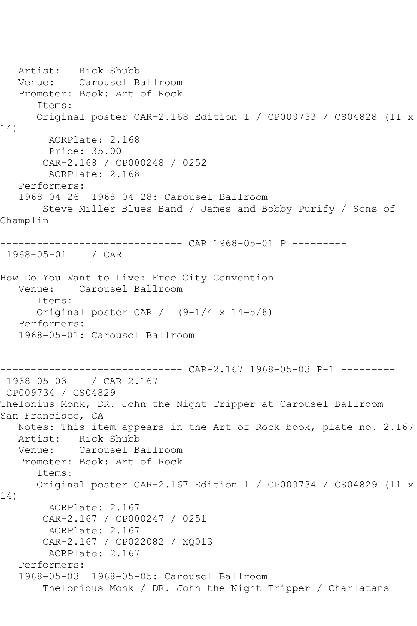Artist: Rick Shubb Venue: Carousel Ballroom Promoter: Book: Art of Rock Items: Original poster CAR-2.168 Edition 1 / CP009733 / CS04828 (11 x 14) AORPlate: 2.168 Price: 35.00 CAR-2.168 / CP000248 / 0252 AORPlate: 2.168 Performers: 1968-04-26 1968-04-28: Carousel Ballroom Steve Miller Blues Band / James and Bobby Purify / Sons of Champlin ------------------------------ CAR 1968-05-01 P --------- 1968-05-01 / CAR How Do You Want to Live: Free City Convention Venue: Carousel Ballroom Items: Original poster CAR / (9-1/4 x 14-5/8) Performers: 1968-05-01: Carousel Ballroom ------------------------------ CAR-2.167 1968-05-03 P-1 --------- 1968-05-03 / CAR 2.167 CP009734 / CS04829 Thelonius Monk, DR. John the Night Tripper at Carousel Ballroom - San Francisco, CA Notes: This item appears in the Art of Rock book, plate no. 2.167 Artist: Rick Shubb<br>Venue: Carousel B Carousel Ballroom Promoter: Book: Art of Rock Items: Original poster CAR-2.167 Edition 1 / CP009734 / CS04829 (11 x 14) AORPlate: 2.167 CAR-2.167 / CP000247 / 0251 AORPlate: 2.167 CAR-2.167 / CP022082 / XQ013 AORPlate: 2.167 Performers: 1968-05-03 1968-05-05: Carousel Ballroom Thelonious Monk / DR. John the Night Tripper / Charlatans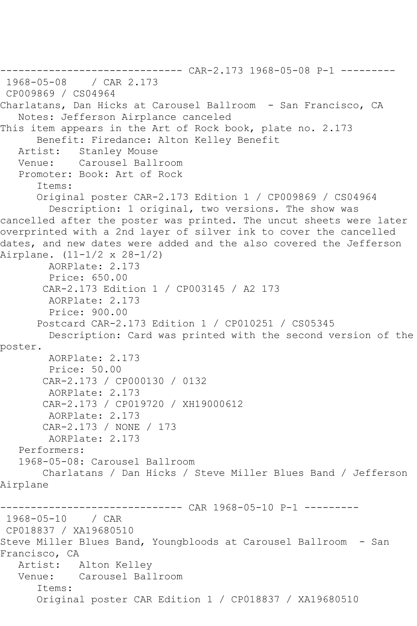```
------------------------------ CAR-2.173 1968-05-08 P-1 ---------
1968-05-08
CP009869 / CS04964
Charlatans, Dan Hicks at Carousel Ballroom - San Francisco, CA
   Notes: Jefferson Airplance canceled
This item appears in the Art of Rock book, plate no. 2.173
      Benefit: Firedance: Alton Kelley Benefit
   Artist: Stanley Mouse
   Venue: Carousel Ballroom
   Promoter: Book: Art of Rock
       Items:
      Original poster CAR-2.173 Edition 1 / CP009869 / CS04964
         Description: 1 original, two versions. The show was 
cancelled after the poster was printed. The uncut sheets were later 
overprinted with a 2nd layer of silver ink to cover the cancelled 
dates, and new dates were added and the also covered the Jefferson 
Airplane. (11-1/2 x 28-1/2)
        AORPlate: 2.173 
         Price: 650.00
        CAR-2.173 Edition 1 / CP003145 / A2 173
         AORPlate: 2.173 
         Price: 900.00
       Postcard CAR-2.173 Edition 1 / CP010251 / CS05345
         Description: Card was printed with the second version of the 
poster.
        AORPlate: 2.173 
         Price: 50.00
        CAR-2.173 / CP000130 / 0132
         AORPlate: 2.173 
        CAR-2.173 / CP019720 / XH19000612
        AORPlate: 2.173 
        CAR-2.173 / NONE / 173
         AORPlate: 2.173 
   Performers:
   1968-05-08: Carousel Ballroom
        Charlatans / Dan Hicks / Steve Miller Blues Band / Jefferson 
Airplane
        ------------------------------ CAR 1968-05-10 P-1 ---------
1968-05-10 / CAR 
CP018837 / XA19680510
Steve Miller Blues Band, Youngbloods at Carousel Ballroom - San
Francisco, CA
   Artist: Alton Kelley
   Venue: Carousel Ballroom
       Items:
       Original poster CAR Edition 1 / CP018837 / XA19680510
```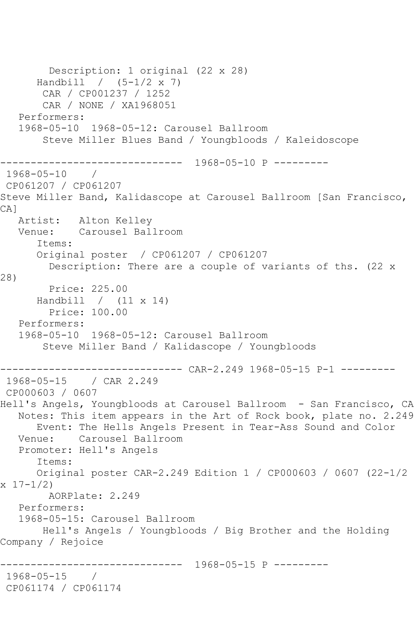```
 Description: 1 original (22 x 28)
       Handbill / (5-1/2 x 7)
        CAR / CP001237 / 1252
        CAR / NONE / XA1968051
    Performers:
    1968-05-10 1968-05-12: Carousel Ballroom
        Steve Miller Blues Band / Youngbloods / Kaleidoscope
                  ------------------------------ 1968-05-10 P ---------
1968-05-10 / 
CP061207 / CP061207
Steve Miller Band, Kalidascope at Carousel Ballroom [San Francisco, 
CA<sub>1</sub>
   Artist: Alton Kelley
   Venue: Carousel Ballroom
       Items:
       Original poster / CP061207 / CP061207
        Description: There are a couple of variants of ths. (22 x 
28)
        Price: 225.00
      Handbill / (11 x 14)
         Price: 100.00
   Performers:
    1968-05-10 1968-05-12: Carousel Ballroom
        Steve Miller Band / Kalidascope / Youngbloods
------------------------------ CAR-2.249 1968-05-15 P-1 ---------
1968-05-15 / CAR 2.249
CP000603 / 0607
Hell's Angels, Youngbloods at Carousel Ballroom - San Francisco, CA
   Notes: This item appears in the Art of Rock book, plate no. 2.249
       Event: The Hells Angels Present in Tear-Ass Sound and Color
   Venue: Carousel Ballroom
   Promoter: Hell's Angels
       Items:
       Original poster CAR-2.249 Edition 1 / CP000603 / 0607 (22-1/2 
x 17 - 1/2 AORPlate: 2.249 
   Performers:
    1968-05-15: Carousel Ballroom
        Hell's Angels / Youngbloods / Big Brother and the Holding 
Company / Rejoice
                  ------------------------------ 1968-05-15 P ---------
1968-05-15 / 
CP061174 / CP061174
```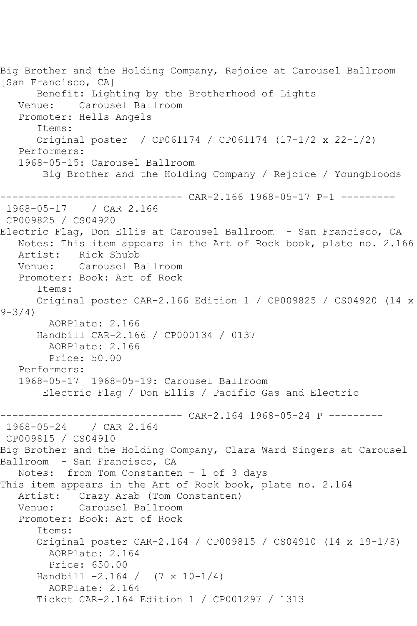```
Big Brother and the Holding Company, Rejoice at Carousel Ballroom 
[San Francisco, CA]
      Benefit: Lighting by the Brotherhood of Lights
   Venue: Carousel Ballroom
   Promoter: Hells Angels
       Items:
       Original poster / CP061174 / CP061174 (17-1/2 x 22-1/2)
   Performers:
   1968-05-15: Carousel Ballroom
       Big Brother and the Holding Company / Rejoice / Youngbloods
------------------------------ CAR-2.166 1968-05-17 P-1 ---------
              / CAR 2.166
CP009825 / CS04920
Electric Flag, Don Ellis at Carousel Ballroom - San Francisco, CA
   Notes: This item appears in the Art of Rock book, plate no. 2.166
   Artist: Rick Shubb
   Venue: Carousel Ballroom
   Promoter: Book: Art of Rock
       Items:
      Original poster CAR-2.166 Edition 1 / CP009825 / CS04920 (14 x 
9 - 3/4 AORPlate: 2.166 
      Handbill CAR-2.166 / CP000134 / 0137
        AORPlate: 2.166 
        Price: 50.00
   Performers:
   1968-05-17 1968-05-19: Carousel Ballroom
       Electric Flag / Don Ellis / Pacific Gas and Electric
                         ------ CAR-2.164 1968-05-24 P ---------
1968-05-24 / CAR 2.164
CP009815 / CS04910
Big Brother and the Holding Company, Clara Ward Singers at Carousel 
Ballroom - San Francisco, CA
   Notes: from Tom Constanten - l of 3 days
This item appears in the Art of Rock book, plate no. 2.164
   Artist: Crazy Arab (Tom Constanten)
   Venue: Carousel Ballroom
   Promoter: Book: Art of Rock
       Items:
       Original poster CAR-2.164 / CP009815 / CS04910 (14 x 19-1/8)
        AORPlate: 2.164 
        Price: 650.00
       Handbill -2.164 / (7 x 10-1/4)
         AORPlate: 2.164 
       Ticket CAR-2.164 Edition 1 / CP001297 / 1313
```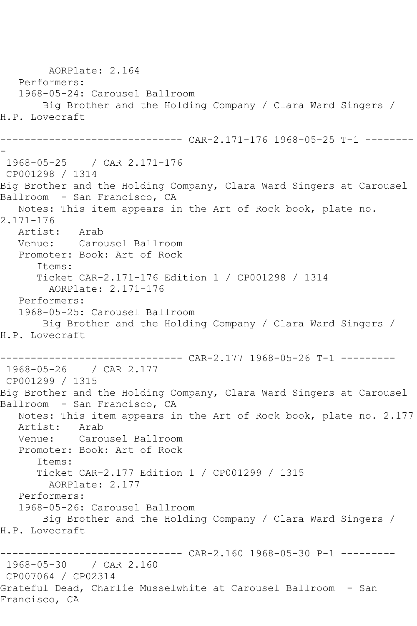AORPlate: 2.164 Performers: 1968-05-24: Carousel Ballroom Big Brother and the Holding Company / Clara Ward Singers / H.P. Lovecraft ------------------------------ CAR-2.171-176 1968-05-25 T-1 -------- - 1968-05-25 / CAR 2.171-176 CP001298 / 1314 Big Brother and the Holding Company, Clara Ward Singers at Carousel Ballroom - San Francisco, CA Notes: This item appears in the Art of Rock book, plate no. 2.171-176 Artist: Arab Venue: Carousel Ballroom Promoter: Book: Art of Rock Items: Ticket CAR-2.171-176 Edition 1 / CP001298 / 1314 AORPlate: 2.171-176 Performers: 1968-05-25: Carousel Ballroom Big Brother and the Holding Company / Clara Ward Singers / H.P. Lovecraft ------------------------------ CAR-2.177 1968-05-26 T-1 --------- 1968-05-26 / CAR 2.177 CP001299 / 1315 Big Brother and the Holding Company, Clara Ward Singers at Carousel Ballroom - San Francisco, CA Notes: This item appears in the Art of Rock book, plate no. 2.177 Artist: Arab<br>Venue: Caro Carousel Ballroom Promoter: Book: Art of Rock Items: Ticket CAR-2.177 Edition 1 / CP001299 / 1315 AORPlate: 2.177 Performers: 1968-05-26: Carousel Ballroom Big Brother and the Holding Company / Clara Ward Singers / H.P. Lovecraft ------------------------------ CAR-2.160 1968-05-30 P-1 --------- 1968-05-30 / CAR 2.160 CP007064 / CP02314 Grateful Dead, Charlie Musselwhite at Carousel Ballroom - San Francisco, CA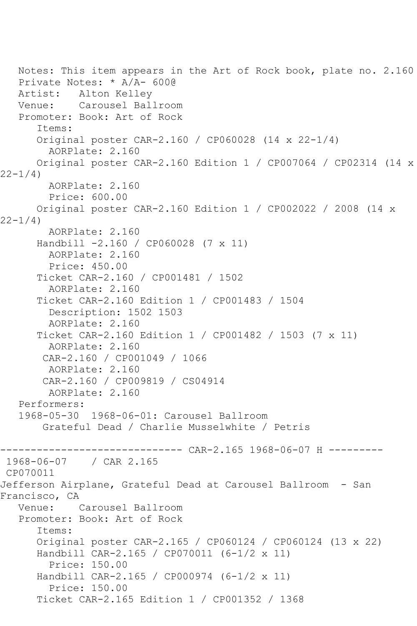Notes: This item appears in the Art of Rock book, plate no. 2.160 Private Notes: \* A/A- 600@ Artist: Alton Kelley Venue: Carousel Ballroom Promoter: Book: Art of Rock Items: Original poster CAR-2.160 / CP060028 (14 x 22-1/4) AORPlate: 2.160 Original poster CAR-2.160 Edition 1 / CP007064 / CP02314 (14 x  $22 - 1/4$ ) AORPlate: 2.160 Price: 600.00 Original poster CAR-2.160 Edition 1 / CP002022 / 2008 (14 x  $22 - 1/4$  AORPlate: 2.160 Handbill -2.160 / CP060028 (7 x 11) AORPlate: 2.160 Price: 450.00 Ticket CAR-2.160 / CP001481 / 1502 AORPlate: 2.160 Ticket CAR-2.160 Edition 1 / CP001483 / 1504 Description: 1502 1503 AORPlate: 2.160 Ticket CAR-2.160 Edition 1 / CP001482 / 1503 (7 x 11) AORPlate: 2.160 CAR-2.160 / CP001049 / 1066 AORPlate: 2.160 CAR-2.160 / CP009819 / CS04914 AORPlate: 2.160 Performers: 1968-05-30 1968-06-01: Carousel Ballroom Grateful Dead / Charlie Musselwhite / Petris ------------------------------ CAR-2.165 1968-06-07 H --------- 1968-06-07 / CAR 2.165 CP070011 Jefferson Airplane, Grateful Dead at Carousel Ballroom - San Francisco, CA Venue: Carousel Ballroom Promoter: Book: Art of Rock Items: Original poster CAR-2.165 / CP060124 / CP060124 (13 x 22) Handbill CAR-2.165 / CP070011 (6-1/2 x 11) Price: 150.00 Handbill CAR-2.165 / CP000974 (6-1/2 x 11) Price: 150.00 Ticket CAR-2.165 Edition 1 / CP001352 / 1368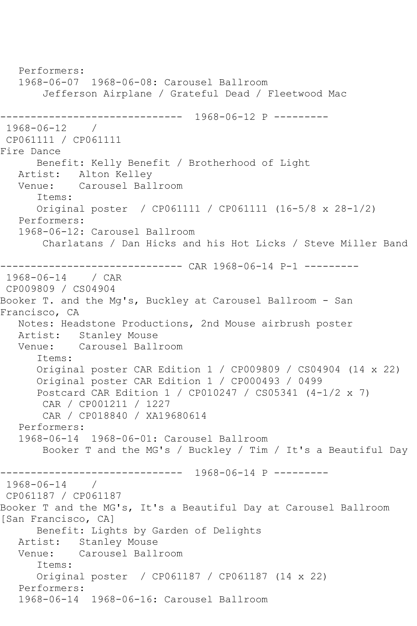Performers: 1968-06-07 1968-06-08: Carousel Ballroom Jefferson Airplane / Grateful Dead / Fleetwood Mac ------------------------------ 1968-06-12 P --------- 1968-06-12 / CP061111 / CP061111 Fire Dance Benefit: Kelly Benefit / Brotherhood of Light Artist: Alton Kelley<br>Venue: Carousel Ball Carousel Ballroom Items: Original poster / CP061111 / CP061111 (16-5/8 x 28-1/2) Performers: 1968-06-12: Carousel Ballroom Charlatans / Dan Hicks and his Hot Licks / Steve Miller Band ------------------------------ CAR 1968-06-14 P-1 --------- 1968-06-14 / CAR CP009809 / CS04904 Booker T. and the Mg's, Buckley at Carousel Ballroom - San Francisco, CA Notes: Headstone Productions, 2nd Mouse airbrush poster Artist: Stanley Mouse Venue: Carousel Ballroom Items: Original poster CAR Edition 1 / CP009809 / CS04904 (14 x 22) Original poster CAR Edition 1 / CP000493 / 0499 Postcard CAR Edition 1 / CP010247 / CS05341 (4-1/2 x 7) CAR / CP001211 / 1227 CAR / CP018840 / XA19680614 Performers: 1968-06-14 1968-06-01: Carousel Ballroom Booker T and the MG's / Buckley / Tim / It's a Beautiful Day ------------------------------ 1968-06-14 P ---------  $1968 - 06 - 14$ CP061187 / CP061187 Booker T and the MG's, It's a Beautiful Day at Carousel Ballroom [San Francisco, CA] Benefit: Lights by Garden of Delights Artist: Stanley Mouse<br>Venue: Carousel Ball Carousel Ballroom Items: Original poster / CP061187 / CP061187 (14 x 22) Performers: 1968-06-14 1968-06-16: Carousel Ballroom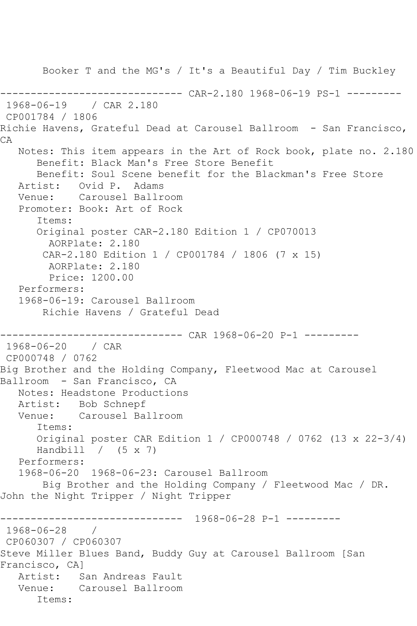Booker T and the MG's / It's a Beautiful Day / Tim Buckley --------- CAR-2.180 1968-06-19 PS-1 ---------1968-06-19 / CAR 2.180 CP001784 / 1806 Richie Havens, Grateful Dead at Carousel Ballroom - San Francisco, CA Notes: This item appears in the Art of Rock book, plate no. 2.180 Benefit: Black Man's Free Store Benefit Benefit: Soul Scene benefit for the Blackman's Free Store Artist: Ovid P. Adams<br>Venue: Carousel Ballr Carousel Ballroom Promoter: Book: Art of Rock Items: Original poster CAR-2.180 Edition 1 / CP070013 AORPlate: 2.180 CAR-2.180 Edition 1 / CP001784 / 1806 (7 x 15) AORPlate: 2.180 Price: 1200.00 Performers: 1968-06-19: Carousel Ballroom Richie Havens / Grateful Dead ------------------------------ CAR 1968-06-20 P-1 --------- 1968-06-20 / CAR CP000748 / 0762 Big Brother and the Holding Company, Fleetwood Mac at Carousel Ballroom - San Francisco, CA Notes: Headstone Productions Artist: Bob Schnepf Venue: Carousel Ballroom Items: Original poster CAR Edition 1 / CP000748 / 0762 (13 x 22-3/4) Handbill  $/$  (5 x 7) Performers: 1968-06-20 1968-06-23: Carousel Ballroom Big Brother and the Holding Company / Fleetwood Mac / DR. John the Night Tripper / Night Tripper ------------------------------ 1968-06-28 P-1 --------- 1968-06-28 / CP060307 / CP060307 Steve Miller Blues Band, Buddy Guy at Carousel Ballroom [San Francisco, CA] Artist: San Andreas Fault Venue: Carousel Ballroom Items: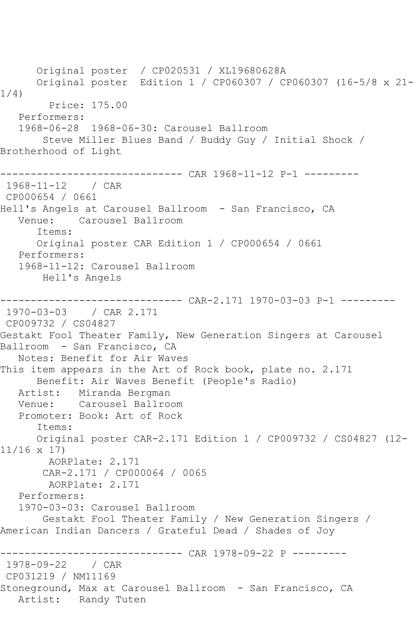Original poster / CP020531 / XL19680628A Original poster Edition 1 / CP060307 / CP060307 (16-5/8 x 21- 1/4) Price: 175.00 Performers: 1968-06-28 1968-06-30: Carousel Ballroom Steve Miller Blues Band / Buddy Guy / Initial Shock / Brotherhood of Light ------------------------------ CAR 1968-11-12 P-1 --------- 1968-11-12 / CAR CP000654 / 0661 Hell's Angels at Carousel Ballroom - San Francisco, CA Venue: Carousel Ballroom Items: Original poster CAR Edition 1 / CP000654 / 0661 Performers: 1968-11-12: Carousel Ballroom Hell's Angels ------------------------------ CAR-2.171 1970-03-03 P-1 --------- 1970-03-03 / CAR 2.171 CP009732 / CS04827 Gestakt Fool Theater Family, New Generation Singers at Carousel Ballroom - San Francisco, CA Notes: Benefit for Air Waves This item appears in the Art of Rock book, plate no. 2.171 Benefit: Air Waves Benefit (People's Radio) Artist: Miranda Bergman Venue: Carousel Ballroom Promoter: Book: Art of Rock Items: Original poster CAR-2.171 Edition 1 / CP009732 / CS04827 (12- 11/16 x 17) AORPlate: 2.171 CAR-2.171 / CP000064 / 0065 AORPlate: 2.171 Performers: 1970-03-03: Carousel Ballroom Gestakt Fool Theater Family / New Generation Singers / American Indian Dancers / Grateful Dead / Shades of Joy ------------------------------ CAR 1978-09-22 P --------- 1978-09-22 / CAR CP031219 / NM11169 Stoneground, Max at Carousel Ballroom - San Francisco, CA Artist: Randy Tuten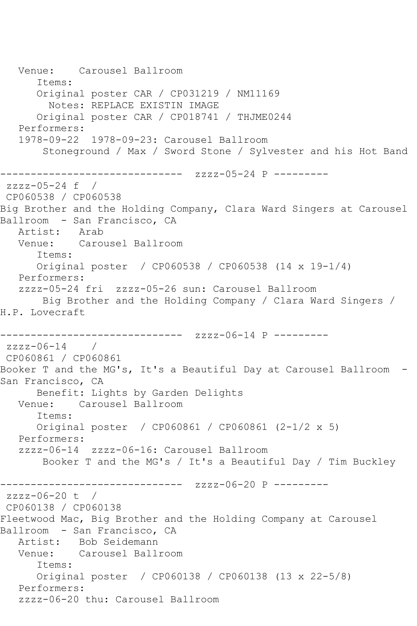Venue: Carousel Ballroom Items: Original poster CAR / CP031219 / NM11169 Notes: REPLACE EXISTIN IMAGE Original poster CAR / CP018741 / THJME0244 Performers: 1978-09-22 1978-09-23: Carousel Ballroom Stoneground / Max / Sword Stone / Sylvester and his Hot Band ------------------------------ zzzz-05-24 P -------- zzzz-05-24 f / CP060538 / CP060538 Big Brother and the Holding Company, Clara Ward Singers at Carousel Ballroom - San Francisco, CA Artist: Arab Venue: Carousel Ballroom Items: Original poster / CP060538 / CP060538 (14 x 19-1/4) Performers: zzzz-05-24 fri zzzz-05-26 sun: Carousel Ballroom Big Brother and the Holding Company / Clara Ward Singers / H.P. Lovecraft ------------------------------ zzzz-06-14 P -------- zzzz-06-14 / CP060861 / CP060861 Booker T and the MG's, It's a Beautiful Day at Carousel Ballroom - San Francisco, CA Benefit: Lights by Garden Delights Venue: Carousel Ballroom Items: Original poster / CP060861 / CP060861 (2-1/2 x 5) Performers: zzzz-06-14 zzzz-06-16: Carousel Ballroom Booker T and the MG's / It's a Beautiful Day / Tim Buckley ------------------------------ zzzz-06-20 P -------- zzzz-06-20 t / CP060138 / CP060138 Fleetwood Mac, Big Brother and the Holding Company at Carousel Ballroom - San Francisco, CA Artist: Bob Seidemann Venue: Carousel Ballroom Items: Original poster / CP060138 / CP060138 (13 x 22-5/8) Performers: zzzz-06-20 thu: Carousel Ballroom